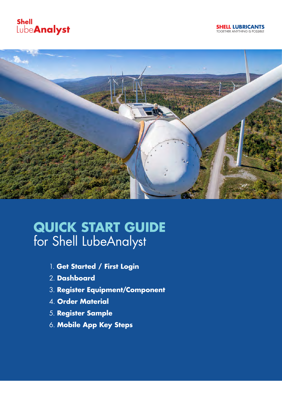





# **QUICK START GUIDE** for Shell LubeAnalyst

- 1. **Get Started / First Login**
- 2. **Dashboard**
- 3. **Register Equipment/Component**
- 4. **Order Material**
- 5. **Register Sample**
- 6. **Mobile App Key Steps**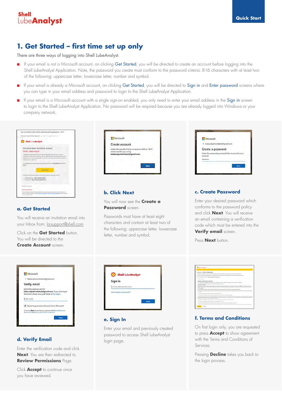

### **1. Get Started – first time set up only**

There are three ways of logging into Shell LubeAnalyst:

- **n** If your email is not a Microsoft account, on clicking Get Started, you will be directed to create an account before logging into the Shell LubeAnalyst Application. Note, the password you create must conform to the password criteria: 8-16 characters with at least two of the following: uppercase letter, lowercase letter, number and symbol.
- F If your email is already a Microsoft account, on clicking Get Started, you will be directed to Sign in and Enter password screens where you can type in your email address and password to login to the Shell LubeAnalyst Application.
- F If your email is a Microsoft account with a single sign-on enabled, you only need to enter your email address in the Sign in screen to login to the Shell LubeAnalyst Application. No password will be required because you are already logged into Windows or your company network.



#### **a. Get Started**

You will receive an invitation email into your Inbox from: la-support@shell.com

Click on the **Get Started** button. You will be directed to the **Create Account** screen.

| Microsoft                                                                                                                         |  |
|-----------------------------------------------------------------------------------------------------------------------------------|--|
| <- lubeanalystinvitetest@gmail.com                                                                                                |  |
| Verify email                                                                                                                      |  |
| Enter the code we sent to<br>lubeanalystinvitetest@gmail.com If you didn't get<br>the email, check your junk folder or try again. |  |
| Inter code                                                                                                                        |  |
| Send me promotional emails from Microsoft                                                                                         |  |
| Chancery Next means that you agree to the Marinoft Services.<br>Appeared and privacy and collect statement.                       |  |

### **d. Verify Email**

Enter the verification code and click **Next**. You are then redirected to **Review Permissions** Page.

Click **Accept** to continue once you have reviewed.

| Microsoft                |                                                                                        |
|--------------------------|----------------------------------------------------------------------------------------|
| Create account           |                                                                                        |
| create one for you using | Looks like you don't have an account with us. We'll<br>lubeanalystinvitetest@gmail.com |
|                          |                                                                                        |
|                          | Next                                                                                   |

### **b. Click Next**

You will now see the **Create a Password** screen.

Passwords must have at least eight characters and contain at least two of the following: uppercase letter, lowercase letter, number and symbol.



#### **e. Sign In**

Enter your email and previously created password to access Shell LubeAnalyst login page.

| Microsoft<br><- lubeanalystinvitetest@gmail.com                |  |
|----------------------------------------------------------------|--|
| Create a password                                              |  |
| Enter the password you would like to use with your<br>account. |  |
|                                                                |  |

### **c. Create Password**

Enter your desired password which conforms to the password policy and click **Next**. You will receive an email containing a verification code which must be entered into the **Verify email** screen.

Press **Next** button.

|                         | <b>Bratt Librariance</b>                                                                                                                                                                                                                                                                                                                                                                                                             |
|-------------------------|--------------------------------------------------------------------------------------------------------------------------------------------------------------------------------------------------------------------------------------------------------------------------------------------------------------------------------------------------------------------------------------------------------------------------------------|
|                         |                                                                                                                                                                                                                                                                                                                                                                                                                                      |
|                         | Weicome to Shell Lubedinstyet                                                                                                                                                                                                                                                                                                                                                                                                        |
|                         | To this our lost attitude the confite and the pre-adversase art to use to a confidence world in an our venerality patterna                                                                                                                                                                                                                                                                                                           |
|                         | a Publisher and constitute and company from Price Artist Pay Advisors of your company's improved and framework that and a series of the constitution of a company                                                                                                                                                                                                                                                                    |
|                         | . To time below as first Plan 1 to 20 at the legal and continues disk                                                                                                                                                                                                                                                                                                                                                                |
|                         | Texture appointed departy.                                                                                                                                                                                                                                                                                                                                                                                                           |
|                         | TRINKS & CONDITIONS OF SERVICES.                                                                                                                                                                                                                                                                                                                                                                                                     |
|                         | The 4 or operation the Agreement' (second certain by Transmer') and food ( )" Beat" (ii) the pressure of centers of or of leaders ( Technical )                                                                                                                                                                                                                                                                                      |
|                         | In this Agreement this Collector and Shall may determine referred to Individually at a TANY.<br>Alliable to be Farder                                                                                                                                                                                                                                                                                                                |
| <b>Ram Ro Agreement</b> | How as east a why's first by College installation of buildings in a control value of the constraint in a set of the control of the first of the<br>Autual Editor contact at a filter than "house a Capital of Tay Time to Taylor integrity through a powerful and<br>that collections author forest the builties                                                                                                                     |
|                         | Tex cureful Color condition Current's condition Electric busin's Riv. Allegend, and if Color Rivies at Access only Ril Allegend                                                                                                                                                                                                                                                                                                      |
| for Assessed            | A the decent of you can a company the No Lemma Amend the Continent and that in the terms and constitute documentals are of Constitute to constitute<br><b><i>INSTRUCTION</i></b>                                                                                                                                                                                                                                                     |
|                         | 1 CREWIN SCENE AUCHI AND FURTHER RATINGSTON                                                                                                                                                                                                                                                                                                                                                                                          |
|                         | 11 The Contract was stage the Online for colonitate for request to that we can be now the University tragentees.                                                                                                                                                                                                                                                                                                                     |
|                         | 4.2 The Draw and not be united to company indicated internation to expect their to use and the Canaries's importances', incontinues Contents' to the conditions of the standard the con-<br>for the Joan Street About 1 Sections must a stund from the Column Active attended at constraint of the Contract Offices of their third must be counter and character a<br>springter, for Collecto and provide first by resumer Municipal |
|                         | 13 Bot city accountable Canner Crim mann averages from 1 Street Mills 1994 (State Street)                                                                                                                                                                                                                                                                                                                                            |
|                         | 2. SAMPLES, HATAKO DISOLOSIARES was TURNAROUND TAKEN                                                                                                                                                                                                                                                                                                                                                                                 |
|                         | 2.4 The Counsel was supplied that its surgeon the Surgeon that Toyotan's but months attracted in this detection because to third                                                                                                                                                                                                                                                                                                     |
|                         | 2.2 The Country Attributed the next Laboratory is three of the State Dental Assessment and the article of other A. Surface 2.15 per activitate to another to the State                                                                                                                                                                                                                                                               |

### **f. Terms and Conditions**

On first login only, you are requested to press **Accept** to show agreement with the Terms and Conditions of Services.

Pressing **Decline** takes you back to the login process.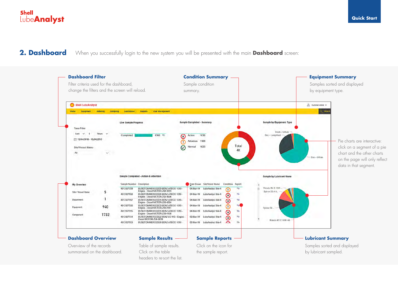**2. Dashboard** When you successfully login to the new system you will be presented with the main **Dashboard** screen:

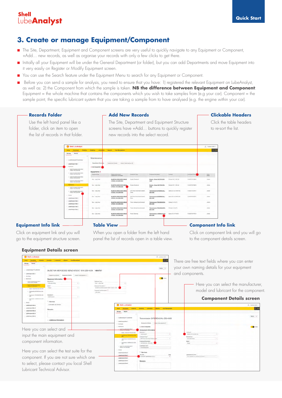### **3. Create or manage Equipment/Component**

- n The Site, Department, Equipment and Component screens are very useful to quickly navigate to any Equipment or Component, +Add… new records, as well as organise your records with only a few clicks to get there.
- n Initially all your Equipment will be under the General Department (or folder), but you can add Departments and move Equipment into it very easily on Register or Modify Equipment screen.
- You can use the Search feature under the Equipment Menu to search for any Equipment or Component.
- n Before you can send a sample for analysis, you need to ensure that you have: 1) registered the relevant Equipment on LubeAnalyst, as well as: 2) the Component from which the sample is taken. **NB the difference between Equipment and Component**: Equipment = the whole machine that contains the components which you wish to take samples from (e.g your car). Component = the sample point, the specific lubricant system that you are taking a sample from to have analysed (e.g. the engine within your car).



### **Equipment Info link**

Click on equipment link and you will go to the equipment structure screen.

A BUSETON MENDICARE

**BUSEFON MENCEDER**  $> 0.083500$  Minoring Luberty LubeAnalyst Sta LubeAnalyst Site

But - Long Har

BUSETON MERCEDES BEN

BUSETON MERCEDES &

BUSETON MERCEDES

When you open a folder from the left hand panel the list of records open in a table view.

Transmi<br>ZM-416

#### **Table View Component Info link**

 $\overline{a}$ 

Click on component link and you will go to the component details screen.

| 3 Shell LubeAnalyst                                                    |                                                                                               |                         |                                                                              |                                                                                                         |                                                                                              | B. center rates -              |                                                                                                      |
|------------------------------------------------------------------------|-----------------------------------------------------------------------------------------------|-------------------------|------------------------------------------------------------------------------|---------------------------------------------------------------------------------------------------------|----------------------------------------------------------------------------------------------|--------------------------------|------------------------------------------------------------------------------------------------------|
| Equipment Distantiful                                                  | <b>Environg Labratone Nearth Unit Monagement</b>                                              |                         |                                                                              |                                                                                                         |                                                                                              | $\alpha$                       | There are free text fields where you can enter                                                       |
| <b>Manage</b><br><b>Search</b><br>- LubeAnalyst Customer               |                                                                                               |                         |                                                                              |                                                                                                         |                                                                                              | $0$ sis. +                     | your own naming details for your equipment                                                           |
| LubsAnalyst Sta.1                                                      | BUSETON MERCEDES BENZ ATEGO 1016 Z50-4354 1454751<br>Equations Structure<br>Equipment Details | Fireon Tutecresses (/1) |                                                                              |                                                                                                         |                                                                                              |                                | and components.                                                                                      |
| <b>Ery History</b><br><b>Martin Grand</b>                              | Equipment Information                                                                         |                         |                                                                              |                                                                                                         |                                                                                              | <b>CO</b> ADM                  |                                                                                                      |
| <b>BUTE TON MERCADES BENT</b><br><b>THE TANK MODEL BUT</b>             | Mendanery <sup>1</sup><br><b><i>Lieuwon Small</i></b><br>Model 1                              | $\sim$                  | Equipment Type *<br><b>Bizt / Long Haul</b><br>Equipment Description         |                                                                                                         |                                                                                              |                                | Here you can select the manufacturer,                                                                |
| $-$ Engine Gase (80106.252.4354)<br>$\sim$ hardening (IPTH)(CH), 250   | Aledo                                                                                         | $\sim$                  | BUSETON MERCEDES BENZ ATEGO 1210<br>esignment has Deteroption 11.<br>ZAD4354 |                                                                                                         |                                                                                              |                                | model and lubricant for the component.                                                               |
| $-$ Transmission (WANDEDGA 25)<br>- Transasser HORMATACO-291<br>a in a | <b>Technique</b> !!<br><b>Maintenance</b><br>Services                                         | <b>Security</b>         |                                                                              |                                                                                                         |                                                                                              |                                | <b>Component Details screen</b>                                                                      |
| <b>Group</b><br>LisbeAnaryst bits 2<br>LideMoldyst Elle 3              | Lubricands Late Soviete                                                                       |                         |                                                                              | Shell LibrAnalyst                                                                                       |                                                                                              |                                | A General Alexandr                                                                                   |
| Lubsditches Sta &<br><b>Lizberknower line 5</b>                        | Remarks                                                                                       |                         |                                                                              | <b>Equipment</b><br><b>Search</b><br>Monage                                                             | Sampley Luterston                                                                            | <b>Reports Cise Gasupement</b> | $Q =$                                                                                                |
| <b>LubeAnalyst Elta 6</b>                                              | · Additional information                                                                      |                         |                                                                              | - LubeAnalyst Customer<br>- LubeAnsivet Sts 1                                                           | Transmission DIFERENCIAL-Z50-4365                                                            |                                | Go to v                                                                                              |
| Here you can select and                                                |                                                                                               |                         |                                                                              | City Nouse<br>of Teachbrack<br>· BUSTON MERCEDES BENZ                                                   | Component Details<br>Clinta Component<br>Component Informatio                                | (1) Jedenscowe (1)             | <b>B</b> Armi                                                                                        |
|                                                                        | input the main equipment and                                                                  |                         |                                                                              | $-$ Engrs - Dissection to 454 456<br><b><i>Tanzinoon St ENIN'IA 250</i></b><br>- Twompan Huestendre 215 | Antonio<br>Transportant<br>interestent Type*<br>Siff. Final Down Aven Tandern D              | <b>Section</b><br>$\sim$       | Lukeward!<br>Sprax 52 ALS 80W-00<br><b>COLLECT</b><br>Manufacturer<br><b>Mercedes Berg</b><br>$\sim$ |
| component information.                                                 |                                                                                               |                         |                                                                              | - Taromise HIRMALCOZS<br><b>BUSTON MERCEDES BENZ</b><br>chillio vera zua appa                           | proposed Description<br>DERRENOAL 250-4505<br>ListenAnalyst Code <sup>+</sup><br>OSANTHEOPET |                                | <b>Model:</b><br>Atept                                                                               |
|                                                                        | Here you can select the test suite for the                                                    |                         |                                                                              | 1. General<br>LubeAnalyst Ste 2<br>Lubsdagiver Site 3                                                   | Services<br><b>Faust Scotte</b>                                                              |                                | <b>Colomna Arts Car Texas</b>                                                                        |
|                                                                        | component. If you are not sure which one                                                      |                         |                                                                              | Lubsitnalyst Site 4<br>Lubsknalvst Site 5                                                               | OCM SM Transmission (CCL)<br><b>Remarks</b>                                                  |                                | Sirt metable its a purport sell quite-                                                               |
|                                                                        | to select, please contact you local Shell                                                     |                         |                                                                              | LideAnays Sta 6                                                                                         |                                                                                              |                                |                                                                                                      |
|                                                                        | Lubricant Technical Advisor.                                                                  |                         |                                                                              |                                                                                                         |                                                                                              |                                |                                                                                                      |

#### **Equipment Details screen**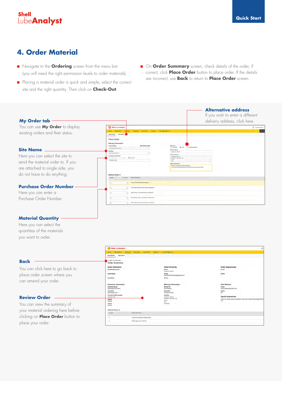### **4. Order Material**

- **n** Navigate to the **Ordering** screen from the menu bar (you will need the right permission levels to order materials).
- n Placing a material order is quick and simple, select the correct site and the right quantity. Then click on **Check-Out**.
- **n** On **Order Summary** screen, check details of the order, if correct, click **Place Order** button to place order. If the details are incorrect, use **Back** to return to **Place Order** screen.

### **Alternative address** If you wish to enter a different **My Order tab** delivery address, click here. You can use **My Order** to display existing orders and their status. Dinan Orde **Site Name** Here you can select the site to send the material order to. If you are attached to single side, you do not have to do anything. **Purchase Order Number** Here you can enter a ß Purchase Order Number.

#### **Material Quantity**

Here you can select the quantities of the materials you want to order.

**Back**

#### Shell LubeAnalys You can click here to go back to place order screen where you can amend your order. **Site Name**<br>Liste Adams **Review Order** You can view the summary of Ship to your material ordering here before Material Order: 8  $rac{1}{2}$ clicking on **Place Order** button to suse to OGAZigne ka s (10 m) place your order.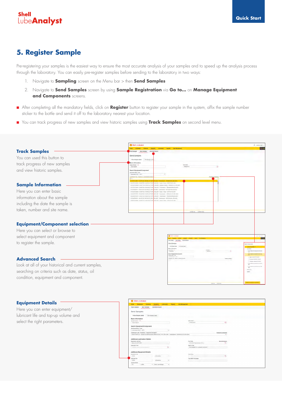### **5. Register Sample**

Pre-registering your samples is the easiest way to ensure the most accurate analysis of your samples and to speed up the analysis process through the laboratory. You can easily pre-register samples before sending to the laboratory in two ways:

- 1. Navigate to **Sampling** screen on the Menu bar > then **Send Samples**
- 2. Navigate to **Send Samples** screen by using **Sample Registration** via **Go to...** on **Manage Equipment and Components** screens.
- n After completing all the mandatory fields, click on **Register** button to register your sample in the system, affix the sample number sticker to the bottle and send it off to the laboratory nearest your location.
- n You can track progress of new samples and view historic samples using **Track Samples** on second level menu.



#### **Equipment Details**

Here you can enter equipment/ lubricant life and top-up volume and select the right parameters.

| <b>Electronical</b><br>Ordentrig<br><b>Sternton</b><br><b>Home</b>                      | Listenstein<br><b>Treguers</b> | <b>Data Management</b>                      |                         |  |
|-----------------------------------------------------------------------------------------|--------------------------------|---------------------------------------------|-------------------------|--|
| <b>Bend Samples</b><br>Advanced Search<br><b>Track flampies</b>                         |                                |                                             |                         |  |
| Send Samples                                                                            |                                |                                             |                         |  |
| No. No. 4 (Print)<br>1 Have Sample Labels<br>First Switzer Liders                       |                                |                                             |                         |  |
| <b>Basic Information</b>                                                                |                                |                                             |                         |  |
| Simple Norther 1                                                                        |                                | <b>Eleni Crown *</b>                        |                         |  |
| TATO/TROOPS                                                                             |                                | 15/jan2018                                  | tt.                     |  |
| Search Equipment/Component                                                              |                                |                                             |                         |  |
| <b>Markenson Moore - Casher'</b>                                                        |                                |                                             |                         |  |
| LideAspect Min1 - N75                                                                   | u.                             |                                             |                         |  |
|                                                                                         |                                |                                             |                         |  |
| Lisbadoutpot Code - Equipment - Companied Universities *                                |                                |                                             |                         |  |
|                                                                                         |                                |                                             | <b>Binese Ett comme</b> |  |
| 01454740PST01-WASTON MERCEDES BENZ ATEEIC 1015 250-4544 Topsettexen HENAHALICO-250 4344 |                                |                                             |                         |  |
|                                                                                         |                                |                                             |                         |  |
| Additional Lubrication Details                                                          |                                |                                             |                         |  |
| <b>Regimined Laters and</b>                                                             |                                | <b>Text Scott</b>                           | Maria Julianniana       |  |
| Geray 55 477 MOS                                                                        |                                | DOM Bid Transmission (OOL)                  | a                       |  |
| Luthmore in Use                                                                         |                                | Antick Text                                 |                         |  |
| A privated death in concerns several at a                                               | $\alpha$                       | Not insurance the is prepared lest suite in |                         |  |
|                                                                                         |                                |                                             |                         |  |
|                                                                                         |                                |                                             |                         |  |
| Additional Equipment Details                                                            |                                |                                             |                         |  |
| Environment Life                                                                        |                                | Ford in true                                |                         |  |
| 18435<br><b>Kingstown</b>                                                               |                                |                                             | a.                      |  |
| abstract Life                                                                           |                                | <b>Fast liable Fernance</b>                 |                         |  |
| ASTRS.<br><b>Kleinmeigh</b>                                                             | $\sim$                         |                                             |                         |  |
| <b>Faju-Ela Distantia</b>                                                               |                                |                                             |                         |  |